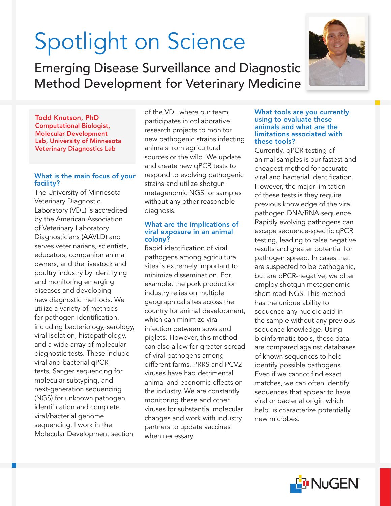# Spotlight on Science

Emerging Disease Surveillance and Diagnostic Method Development for Veterinary Medicine

Todd Knutson, PhD Computational Biologist, Molecular Development Lab, University of Minnesota Veterinary Diagnostics Lab

## What is the main focus of your facility?

The University of Minnesota Veterinary Diagnostic Laboratory (VDL) is accredited by the American Association of Veterinary Laboratory Diagnosticians (AAVLD) and serves veterinarians, scientists, educators, companion animal owners, and the livestock and poultry industry by identifying and monitoring emerging diseases and developing new diagnostic methods. We utilize a variety of methods for pathogen identification, including bacteriology, serology, viral isolation, histopathology, and a wide array of molecular diagnostic tests. These include viral and bacterial qPCR tests, Sanger sequencing for molecular subtyping, and next-generation sequencing (NGS) for unknown pathogen identification and complete viral/bacterial genome sequencing. I work in the Molecular Development section

of the VDL where our team participates in collaborative research projects to monitor new pathogenic strains infecting animals from agricultural sources or the wild. We update and create new qPCR tests to respond to evolving pathogenic strains and utilize shotgun metagenomic NGS for samples without any other reasonable diagnosis.

### What are the implications of viral exposure in an animal colony?

Rapid identification of viral pathogens among agricultural sites is extremely important to minimize dissemination. For example, the pork production industry relies on multiple geographical sites across the country for animal development, which can minimize viral infection between sows and piglets. However, this method can also allow for greater spread of viral pathogens among different farms. PRRS and PCV2 viruses have had detrimental animal and economic effects on the industry. We are constantly monitoring these and other viruses for substantial molecular changes and work with industry partners to update vaccines when necessary.

#### What tools are you currently using to evaluate these animals and what are the limitations associated with these tools?

Currently, qPCR testing of animal samples is our fastest and cheapest method for accurate viral and bacterial identification. However, the major limitation of these tests is they require previous knowledge of the viral pathogen DNA/RNA sequence. Rapidly evolving pathogens can escape sequence-specific qPCR testing, leading to false negative results and greater potential for pathogen spread. In cases that are suspected to be pathogenic, but are qPCR-negative, we often employ shotgun metagenomic short-read NGS. This method has the unique ability to sequence any nucleic acid in the sample without any previous sequence knowledge. Using bioinformatic tools, these data are compared against databases of known sequences to help identify possible pathogens. Even if we cannot find exact matches, we can often identify sequences that appear to have viral or bacterial origin which help us characterize potentially new microbes.